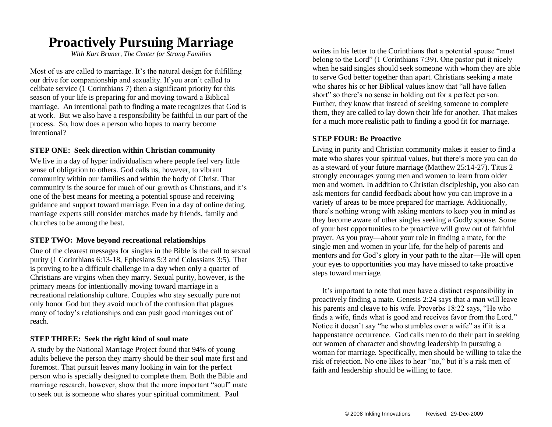## **Proactively Pursuing Marriage**

*With Kurt Bruner, The Center for Strong Families*

Most of us are called to marriage. It's the natural design for fulfilling our drive for companionship and sexuality. If you aren't called to celibate service  $(1 \text{ Corinthians 7})$  then a significant priority for this season of your life is preparing for and moving toward a Biblical marriage. An intentional path to finding a mate recognizes that God is at work. But we also have a responsibility be faithful in our part of the process. So, how does a person who hopes to marry become intentional?

#### **STEP ONE: Seek direction within Christian community**

We live in a day of hyper individualism where people feel very little sense of obligation to others. God calls us, however, to vibrant community within our families and within the body of Christ. That community is the source for much of our growth as Christians, and it's one of the best means for meeting a potential spouse and receiving guidance and support toward marriage. Even in a day of online dating, marriage experts still consider matches made by friends, family and churches to be among the best.

#### **STEP TWO: Move beyond recreational relationships**

One of the clearest messages for singles in the Bible is the call to sexual purity (1 Corinthians 6:13-18, Ephesians 5:3 and Colossians 3:5). That is proving to be a difficult challenge in a day when only a quarter of Christians are virgins when they marry. Sexual purity, however, is the primary means for intentionally moving toward marriage in a recreational relationship culture. Couples who stay sexually pure not only honor God but they avoid much of the confusion that plagues many of today's relationships and can push good marriages out of reach.

#### **STEP THREE: Seek the right kind of soul mate**

A study by the National Marriage Project found that 94% of young adults believe the person they marry should be their soul mate first and foremost. That pursuit leaves many looking in vain for the perfect person who is specially designed to complete them. Both the Bible and marriage research, however, show that the more important "soul" mate to seek out is someone who shares your spiritual commitment. Paul

writes in his letter to the Corinthians that a potential spouse "must belong to the Lord" (1 Corinthians 7:39). One pastor put it nicely when he said singles should seek someone with whom they are able to serve God better together than apart. Christians seeking a mate who shares his or her Biblical values know that "all have fallen short" so there's no sense in holding out for a perfect person. Further, they know that instead of seeking someone to complete them, they are called to lay down their life for another. That makes for a much more realistic path to finding a good fit for marriage.

#### **STEP FOUR: Be Proactive**

Living in purity and Christian community makes it easier to find a mate who shares your spiritual values, but there's more you can do as a steward of your future marriage (Matthew 25:14-27). Titus 2 strongly encourages young men and women to learn from older men and women. In addition to Christian discipleship, you also can ask mentors for candid feedback about how you can improve in a variety of areas to be more prepared for marriage. Additionally, there's nothing wrong with asking mentors to keep you in mind as they become aware of other singles seeking a Godly spouse. Some of your best opportunities to be proactive will grow out of faithful prayer. As you pray—about your role in finding a mate, for the single men and women in your life, for the help of parents and mentors and for God's glory in your path to the altar—He will open your eyes to opportunities you may have missed to take proactive steps toward marriage.

It's important to note that men have a distinct responsibility in proactively finding a mate. Genesis 2:24 says that a man will leave his parents and cleave to his wife. Proverbs 18:22 says, "He who finds a wife, finds what is good and receives favor from the Lord." Notice it doesn't say "he who stumbles over a wife" as if it is a happenstance occurrence. God calls men to do their part in seeking out women of character and showing leadership in pursuing a woman for marriage. Specifically, men should be willing to take the risk of rejection. No one likes to hear "no," but it's a risk men of faith and leadership should be willing to face.